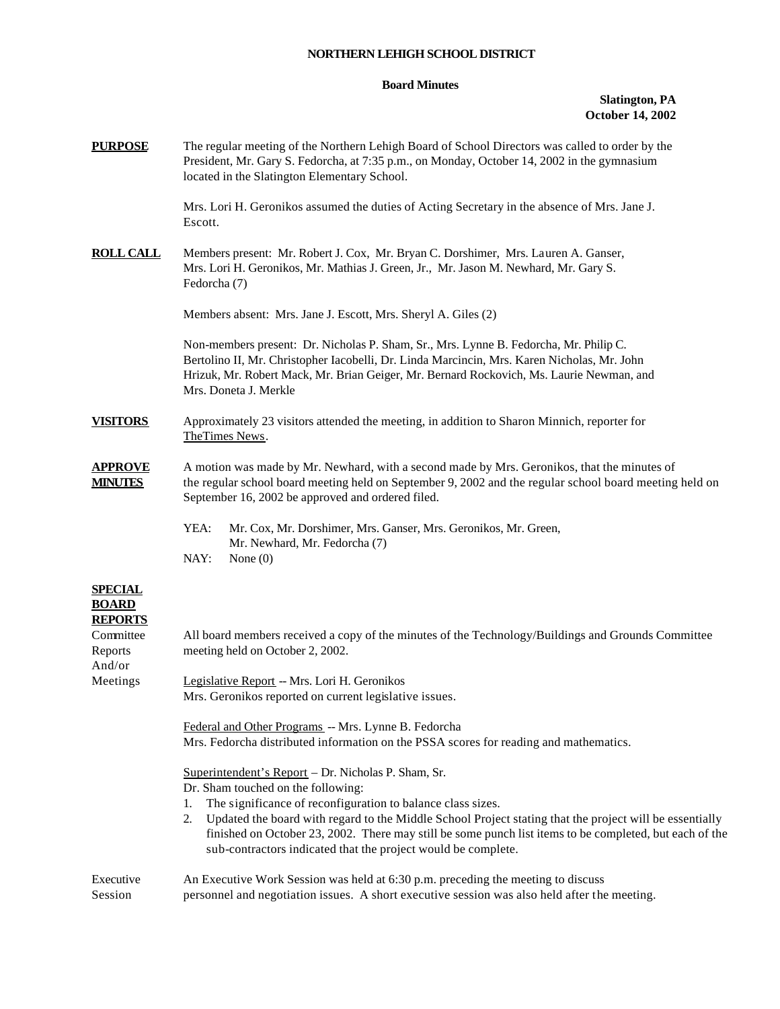## **NORTHERN LEHIGH SCHOOL DISTRICT**

## **Board Minutes**

## **Slatington, PA October 14, 2002**

| <b>PURPOSE</b>                                   | The regular meeting of the Northern Lehigh Board of School Directors was called to order by the<br>President, Mr. Gary S. Fedorcha, at 7:35 p.m., on Monday, October 14, 2002 in the gymnasium<br>located in the Slatington Elementary School.                                                                                                                                                                                                           |  |  |
|--------------------------------------------------|----------------------------------------------------------------------------------------------------------------------------------------------------------------------------------------------------------------------------------------------------------------------------------------------------------------------------------------------------------------------------------------------------------------------------------------------------------|--|--|
|                                                  | Mrs. Lori H. Geronikos assumed the duties of Acting Secretary in the absence of Mrs. Jane J.<br>Escott.                                                                                                                                                                                                                                                                                                                                                  |  |  |
| <b>ROLL CALL</b>                                 | Members present: Mr. Robert J. Cox, Mr. Bryan C. Dorshimer, Mrs. Lauren A. Ganser,<br>Mrs. Lori H. Geronikos, Mr. Mathias J. Green, Jr., Mr. Jason M. Newhard, Mr. Gary S.<br>Fedorcha (7)                                                                                                                                                                                                                                                               |  |  |
|                                                  | Members absent: Mrs. Jane J. Escott, Mrs. Sheryl A. Giles (2)                                                                                                                                                                                                                                                                                                                                                                                            |  |  |
|                                                  | Non-members present: Dr. Nicholas P. Sham, Sr., Mrs. Lynne B. Fedorcha, Mr. Philip C.<br>Bertolino II, Mr. Christopher Iacobelli, Dr. Linda Marcincin, Mrs. Karen Nicholas, Mr. John<br>Hrizuk, Mr. Robert Mack, Mr. Brian Geiger, Mr. Bernard Rockovich, Ms. Laurie Newman, and<br>Mrs. Doneta J. Merkle                                                                                                                                                |  |  |
| <b>VISITORS</b>                                  | Approximately 23 visitors attended the meeting, in addition to Sharon Minnich, reporter for<br>TheTimes News.                                                                                                                                                                                                                                                                                                                                            |  |  |
| <b>APPROVE</b><br><b>MINUTES</b>                 | A motion was made by Mr. Newhard, with a second made by Mrs. Geronikos, that the minutes of<br>the regular school board meeting held on September 9, 2002 and the regular school board meeting held on<br>September 16, 2002 be approved and ordered filed.                                                                                                                                                                                              |  |  |
|                                                  | YEA:<br>Mr. Cox, Mr. Dorshimer, Mrs. Ganser, Mrs. Geronikos, Mr. Green,<br>Mr. Newhard, Mr. Fedorcha (7)<br>NAY:<br>None $(0)$                                                                                                                                                                                                                                                                                                                           |  |  |
| <b>SPECIAL</b><br><b>BOARD</b><br><b>REPORTS</b> |                                                                                                                                                                                                                                                                                                                                                                                                                                                          |  |  |
| Committee<br>Reports<br>And/or                   | All board members received a copy of the minutes of the Technology/Buildings and Grounds Committee<br>meeting held on October 2, 2002.                                                                                                                                                                                                                                                                                                                   |  |  |
| Meetings                                         | Legislative Report -- Mrs. Lori H. Geronikos<br>Mrs. Geronikos reported on current legislative issues.                                                                                                                                                                                                                                                                                                                                                   |  |  |
|                                                  | Federal and Other Programs -- Mrs. Lynne B. Fedorcha<br>Mrs. Fedorcha distributed information on the PSSA scores for reading and mathematics.                                                                                                                                                                                                                                                                                                            |  |  |
|                                                  | Superintendent's Report - Dr. Nicholas P. Sham, Sr.<br>Dr. Sham touched on the following:<br>The significance of reconfiguration to balance class sizes.<br>1.<br>2. Updated the board with regard to the Middle School Project stating that the project will be essentially<br>finished on October 23, 2002. There may still be some punch list items to be completed, but each of the<br>sub-contractors indicated that the project would be complete. |  |  |
|                                                  |                                                                                                                                                                                                                                                                                                                                                                                                                                                          |  |  |

Executive An Executive Work Session was held at 6:30 p.m. preceding the meeting to discuss Session personnel and negotiation issues. A short executive session was also held after the meeting.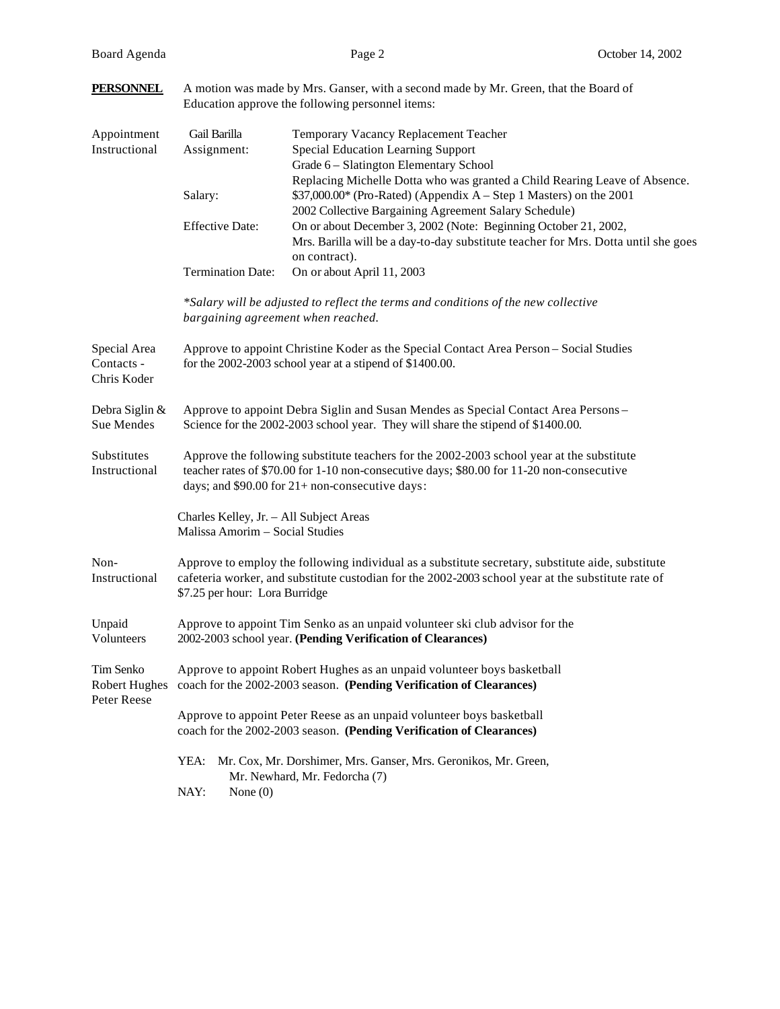| <b>PERSONNEL</b>                                 | A motion was made by Mrs. Ganser, with a second made by Mr. Green, that the Board of<br>Education approve the following personnel items:                                                                                                  |                                                                                                                                                                                                           |  |
|--------------------------------------------------|-------------------------------------------------------------------------------------------------------------------------------------------------------------------------------------------------------------------------------------------|-----------------------------------------------------------------------------------------------------------------------------------------------------------------------------------------------------------|--|
| Appointment<br>Instructional                     | Gail Barilla<br>Assignment:                                                                                                                                                                                                               | Temporary Vacancy Replacement Teacher<br>Special Education Learning Support<br>Grade 6 - Slatington Elementary School                                                                                     |  |
|                                                  | Salary:                                                                                                                                                                                                                                   | Replacing Michelle Dotta who was granted a Child Rearing Leave of Absence.<br>\$37,000.00* (Pro-Rated) (Appendix A – Step 1 Masters) on the 2001<br>2002 Collective Bargaining Agreement Salary Schedule) |  |
|                                                  | <b>Effective Date:</b>                                                                                                                                                                                                                    | On or about December 3, 2002 (Note: Beginning October 21, 2002,<br>Mrs. Barilla will be a day-to-day substitute teacher for Mrs. Dotta until she goes<br>on contract).                                    |  |
|                                                  | <b>Termination Date:</b>                                                                                                                                                                                                                  | On or about April 11, 2003                                                                                                                                                                                |  |
|                                                  | bargaining agreement when reached.                                                                                                                                                                                                        | *Salary will be adjusted to reflect the terms and conditions of the new collective                                                                                                                        |  |
| Special Area<br>Contacts -<br>Chris Koder        | Approve to appoint Christine Koder as the Special Contact Area Person - Social Studies<br>for the 2002-2003 school year at a stipend of \$1400.00.                                                                                        |                                                                                                                                                                                                           |  |
| Debra Siglin &<br>Sue Mendes                     | Approve to appoint Debra Siglin and Susan Mendes as Special Contact Area Persons -<br>Science for the 2002-2003 school year. They will share the stipend of \$1400.00.                                                                    |                                                                                                                                                                                                           |  |
| Substitutes<br>Instructional                     | Approve the following substitute teachers for the 2002-2003 school year at the substitute<br>teacher rates of \$70.00 for 1-10 non-consecutive days; \$80.00 for 11-20 non-consecutive<br>days; and \$90.00 for 21+ non-consecutive days: |                                                                                                                                                                                                           |  |
|                                                  | Charles Kelley, Jr. - All Subject Areas<br>Malissa Amorim - Social Studies                                                                                                                                                                |                                                                                                                                                                                                           |  |
| Non-<br>Instructional                            | Approve to employ the following individual as a substitute secretary, substitute aide, substitute<br>cafeteria worker, and substitute custodian for the 2002-2003 school year at the substitute rate of<br>\$7.25 per hour: Lora Burridge |                                                                                                                                                                                                           |  |
| Unpaid<br>Volunteers                             | Approve to appoint Tim Senko as an unpaid volunteer ski club advisor for the<br>2002-2003 school year. (Pending Verification of Clearances)                                                                                               |                                                                                                                                                                                                           |  |
| Tim Senko<br><b>Robert Hughes</b><br>Peter Reese | Approve to appoint Robert Hughes as an unpaid volunteer boys basketball<br>coach for the 2002-2003 season. (Pending Verification of Clearances)                                                                                           |                                                                                                                                                                                                           |  |
|                                                  | Approve to appoint Peter Reese as an unpaid volunteer boys basketball<br>coach for the 2002-2003 season. (Pending Verification of Clearances)                                                                                             |                                                                                                                                                                                                           |  |
|                                                  | YEA:                                                                                                                                                                                                                                      | Mr. Cox, Mr. Dorshimer, Mrs. Ganser, Mrs. Geronikos, Mr. Green,<br>Mr. Newhard, Mr. Fedorcha (7)                                                                                                          |  |
|                                                  | NAY:<br>None $(0)$                                                                                                                                                                                                                        |                                                                                                                                                                                                           |  |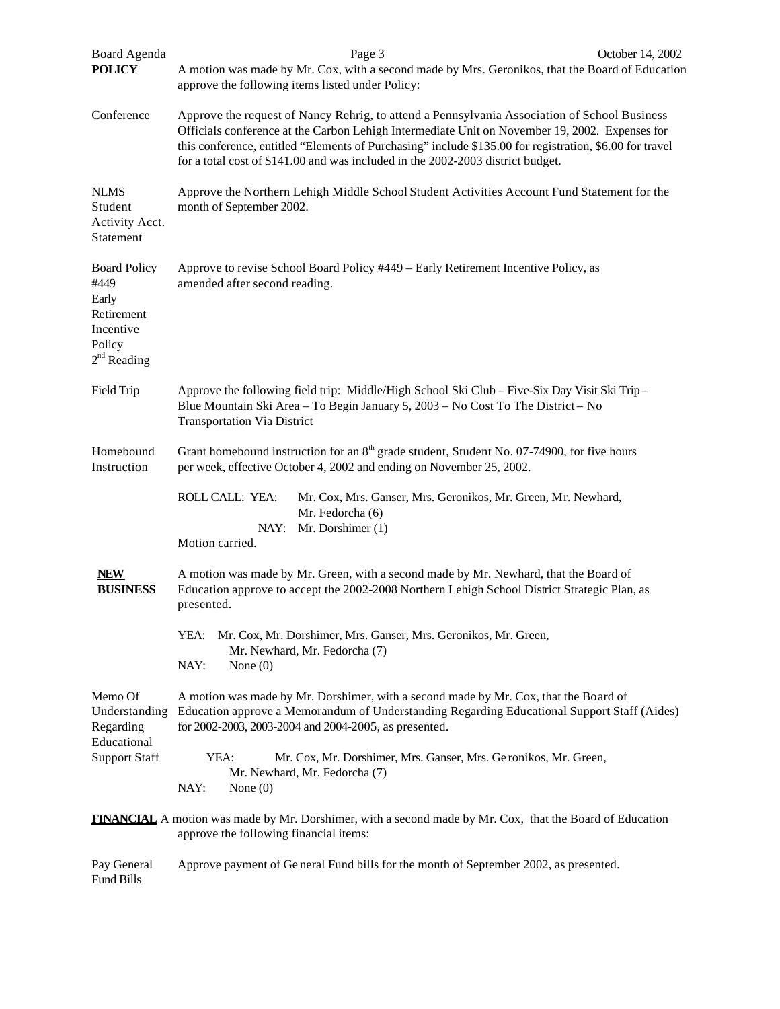| Board Agenda<br><b>POLICY</b>                                                              | Page 3<br>October 14, 2002<br>A motion was made by Mr. Cox, with a second made by Mrs. Geronikos, that the Board of Education<br>approve the following items listed under Policy:                                                                                                                                                                                                            |  |  |
|--------------------------------------------------------------------------------------------|----------------------------------------------------------------------------------------------------------------------------------------------------------------------------------------------------------------------------------------------------------------------------------------------------------------------------------------------------------------------------------------------|--|--|
| Conference                                                                                 | Approve the request of Nancy Rehrig, to attend a Pennsylvania Association of School Business<br>Officials conference at the Carbon Lehigh Intermediate Unit on November 19, 2002. Expenses for<br>this conference, entitled "Elements of Purchasing" include \$135.00 for registration, \$6.00 for travel<br>for a total cost of \$141.00 and was included in the 2002-2003 district budget. |  |  |
| <b>NLMS</b><br>Student<br>Activity Acct.<br>Statement                                      | Approve the Northern Lehigh Middle School Student Activities Account Fund Statement for the<br>month of September 2002.                                                                                                                                                                                                                                                                      |  |  |
| <b>Board Policy</b><br>#449<br>Early<br>Retirement<br>Incentive<br>Policy<br>$2nd$ Reading | Approve to revise School Board Policy #449 – Early Retirement Incentive Policy, as<br>amended after second reading.                                                                                                                                                                                                                                                                          |  |  |
| Field Trip                                                                                 | Approve the following field trip: Middle/High School Ski Club – Five-Six Day Visit Ski Trip –<br>Blue Mountain Ski Area - To Begin January 5, 2003 - No Cost To The District - No<br><b>Transportation Via District</b>                                                                                                                                                                      |  |  |
| Homebound<br>Instruction                                                                   | Grant homebound instruction for an $8th$ grade student, Student No. 07-74900, for five hours<br>per week, effective October 4, 2002 and ending on November 25, 2002.                                                                                                                                                                                                                         |  |  |
|                                                                                            | ROLL CALL: YEA:<br>Mr. Cox, Mrs. Ganser, Mrs. Geronikos, Mr. Green, Mr. Newhard,<br>Mr. Fedorcha (6)<br>Mr. Dorshimer (1)<br>NAY:<br>Motion carried.                                                                                                                                                                                                                                         |  |  |
| <b>NEW</b><br><b>BUSINESS</b>                                                              | A motion was made by Mr. Green, with a second made by Mr. Newhard, that the Board of<br>Education approve to accept the 2002-2008 Northern Lehigh School District Strategic Plan, as<br>presented.                                                                                                                                                                                           |  |  |
|                                                                                            | YEA: Mr. Cox, Mr. Dorshimer, Mrs. Ganser, Mrs. Geronikos, Mr. Green,<br>Mr. Newhard, Mr. Fedorcha (7)<br>NAY:<br>None $(0)$                                                                                                                                                                                                                                                                  |  |  |
| Memo Of<br>Understanding<br>Regarding<br>Educational                                       | A motion was made by Mr. Dorshimer, with a second made by Mr. Cox, that the Board of<br>Education approve a Memorandum of Understanding Regarding Educational Support Staff (Aides)<br>for 2002-2003, 2003-2004 and 2004-2005, as presented.                                                                                                                                                 |  |  |
| <b>Support Staff</b>                                                                       | YEA:<br>Mr. Cox, Mr. Dorshimer, Mrs. Ganser, Mrs. Ge ronikos, Mr. Green,<br>Mr. Newhard, Mr. Fedorcha (7)<br>NAY:<br>None $(0)$                                                                                                                                                                                                                                                              |  |  |
|                                                                                            | <b>FINANCIAL</b> A motion was made by Mr. Dorshimer, with a second made by Mr. Cox, that the Board of Education<br>approve the following financial items:                                                                                                                                                                                                                                    |  |  |
| Pay General<br>Fund Bills                                                                  | Approve payment of General Fund bills for the month of September 2002, as presented.                                                                                                                                                                                                                                                                                                         |  |  |